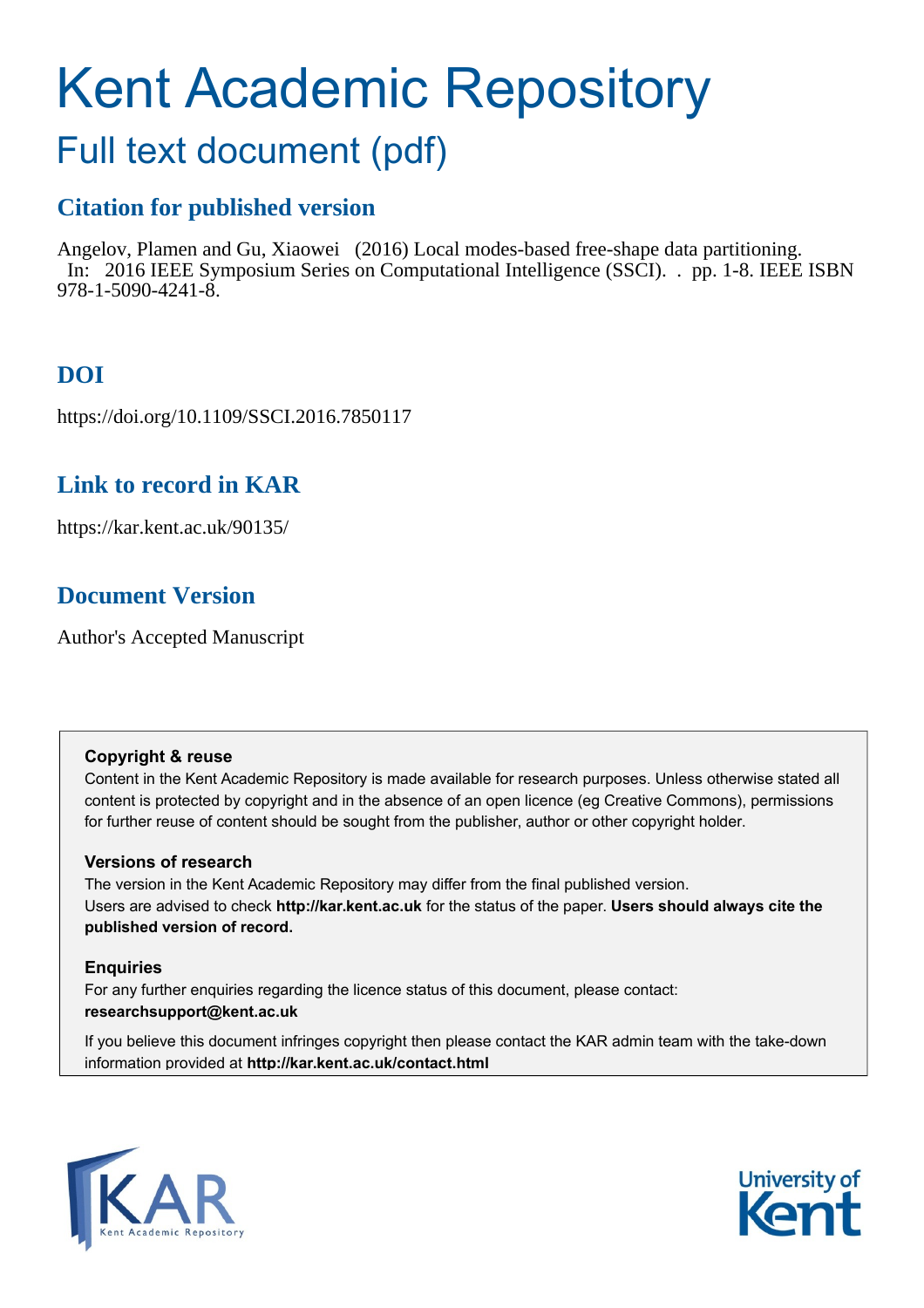# Kent Academic Repository

# Full text document (pdf)

## **Citation for published version**

Angelov, Plamen and Gu, Xiaowei (2016) Local modes-based free-shape data partitioning. In: 2016 IEEE Symposium Series on Computational Intelligence (SSCI). . pp. 1-8. IEEE ISBN 978-1-5090-4241-8.

# **DOI**

https://doi.org/10.1109/SSCI.2016.7850117

### **Link to record in KAR**

https://kar.kent.ac.uk/90135/

# **Document Version**

Author's Accepted Manuscript

#### **Copyright & reuse**

Content in the Kent Academic Repository is made available for research purposes. Unless otherwise stated all content is protected by copyright and in the absence of an open licence (eg Creative Commons), permissions for further reuse of content should be sought from the publisher, author or other copyright holder.

#### **Versions of research**

The version in the Kent Academic Repository may differ from the final published version. Users are advised to check **http://kar.kent.ac.uk** for the status of the paper. **Users should always cite the published version of record.**

#### **Enquiries**

For any further enquiries regarding the licence status of this document, please contact: **researchsupport@kent.ac.uk**

If you believe this document infringes copyright then please contact the KAR admin team with the take-down information provided at **http://kar.kent.ac.uk/contact.html**



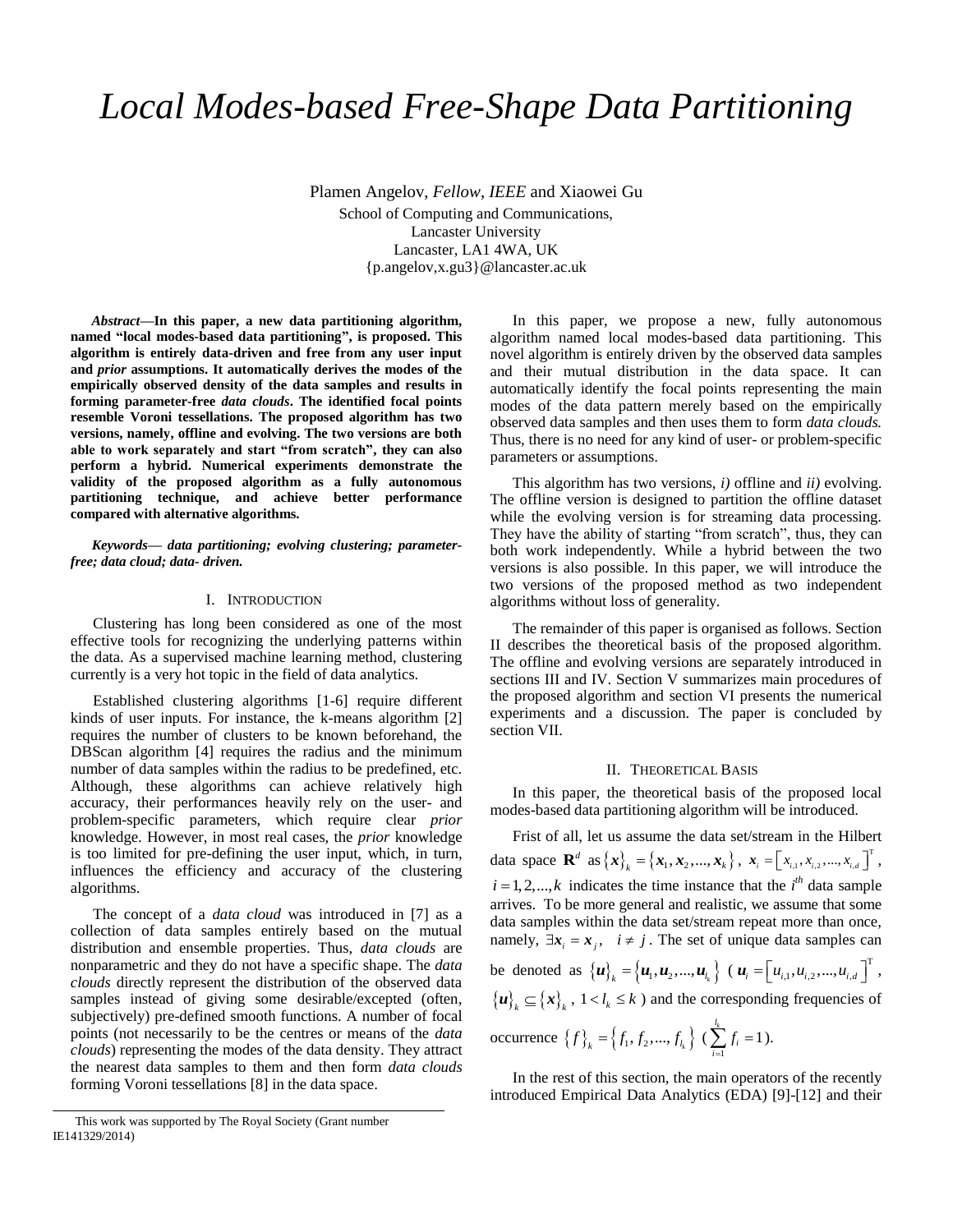# *Local Modes-based Free-Shape Data Partitioning*

Plamen Angelov, *Fellow*, *IEEE* and Xiaowei Gu School of Computing and Communications, Lancaster University Lancaster, LA1 4WA, UK {p.angelov,x.gu3}@lancaster.ac.uk

*Abstract***—In this paper, a new data partitioning algorithm, named "local modes-based data partitioning", is proposed. This algorithm is entirely data-driven and free from any user input and** *prior* **assumptions. It automatically derives the modes of the empirically observed density of the data samples and results in forming parameter-free** *data clouds***. The identified focal points resemble Voroni tessellations. The proposed algorithm has two versions, namely, offline and evolving. The two versions are both able to work separately and start "from scratch", they can also perform a hybrid. Numerical experiments demonstrate the validity of the proposed algorithm as a fully autonomous partitioning technique, and achieve better performance compared with alternative algorithms.**

*Keywords— data partitioning; evolving clustering; parameterfree; data cloud; data- driven.*

#### I. INTRODUCTION

Clustering has long been considered as one of the most effective tools for recognizing the underlying patterns within the data. As a supervised machine learning method, clustering currently is a very hot topic in the field of data analytics.

Established clustering algorithms [1-6] require different kinds of user inputs. For instance, the k-means algorithm [2] requires the number of clusters to be known beforehand, the DBScan algorithm [4] requires the radius and the minimum number of data samples within the radius to be predefined, etc. Although, these algorithms can achieve relatively high accuracy, their performances heavily rely on the user- and problem-specific parameters, which require clear *prior* knowledge. However, in most real cases, the *prior* knowledge is too limited for pre-defining the user input, which, in turn, influences the efficiency and accuracy of the clustering algorithms.

The concept of a *data cloud* was introduced in [7] as a collection of data samples entirely based on the mutual distribution and ensemble properties. Thus, *data clouds* are nonparametric and they do not have a specific shape. The *data clouds* directly represent the distribution of the observed data samples instead of giving some desirable/excepted (often, subjectively) pre-defined smooth functions. A number of focal points (not necessarily to be the centres or means of the *data clouds*) representing the modes of the data density. They attract the nearest data samples to them and then form *data clouds* forming Voroni tessellations [8] in the data space.

In this paper, we propose a new, fully autonomous algorithm named local modes-based data partitioning. This novel algorithm is entirely driven by the observed data samples and their mutual distribution in the data space. It can automatically identify the focal points representing the main modes of the data pattern merely based on the empirically observed data samples and then uses them to form *data clouds.* Thus, there is no need for any kind of user- or problem-specific parameters or assumptions.

This algorithm has two versions, *i)* offline and *ii)* evolving. The offline version is designed to partition the offline dataset while the evolving version is for streaming data processing. They have the ability of starting "from scratch", thus, they can both work independently. While a hybrid between the two versions is also possible. In this paper, we will introduce the two versions of the proposed method as two independent algorithms without loss of generality.

The remainder of this paper is organised as follows. Section II describes the theoretical basis of the proposed algorithm. The offline and evolving versions are separately introduced in sections III and IV. Section V summarizes main procedures of the proposed algorithm and section VI presents the numerical experiments and a discussion. The paper is concluded by section VII.

#### II. THEORETICAL BASIS

In this paper, the theoretical basis of the proposed local modes-based data partitioning algorithm will be introduced.

Frist of all, let us assume the data set/stream in the Hilbert data space  $\mathbf{R}^d$  as  $\{\mathbf{x}\}_k = \{\mathbf{x}_1, \mathbf{x}_2, ..., \mathbf{x}_k\}, \ \mathbf{x}_i = \begin{bmatrix} x_{i,1}, x_{i,2}, ..., x_{i,d} \end{bmatrix}^\text{T}$ ,  $i = 1, 2, \dots, k$  indicates the time instance that the  $i<sup>th</sup>$  data sample arrives. To be more general and realistic, we assume that some data samples within the data set/stream repeat more than once, namely,  $\exists x_i = x_j$ ,  $i \neq j$ . The set of unique data samples can be denoted as  ${\{u\}}_k = {\{u_1, u_2, ..., u_{l_k}\}}$  ( $u_i = {\{u_{i,1}, u_{i,2}, ..., u_{i,d}\}}^T$ ,  ${u}_k \subseteq {x}_k$ ,  $1 < l_k \le k$  *and the corresponding frequencies of* occurrence  $\{f\}_k = \{f_1, f_2, ..., f_{l_k}\}$  ( 1  $\sum_i^{l_k} f_i = 1$  $\sum_{i=1}$   $J_i$ *f*  $\sum_{i=1}^{6} f_i = 1$ ).

In the rest of this section, the main operators of the recently introduced Empirical Data Analytics (EDA) [9]-[12] and their

This work was supported by The Royal Society (Grant number IE141329/2014)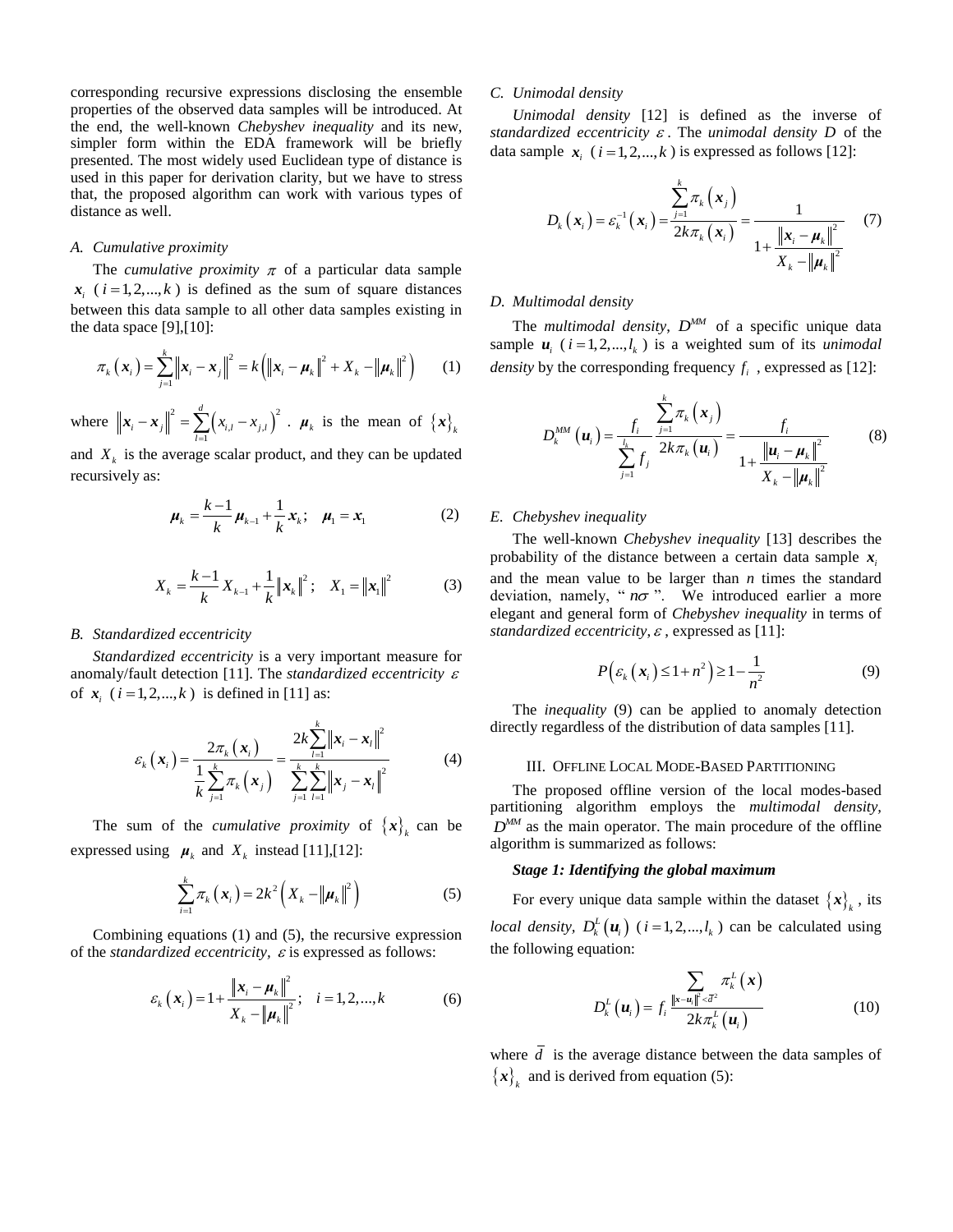corresponding recursive expressions disclosing the ensemble properties of the observed data samples will be introduced. At the end, the well-known *Chebyshev inequality* and its new, simpler form within the EDA framework will be briefly presented. The most widely used Euclidean type of distance is used in this paper for derivation clarity, but we have to stress that, the proposed algorithm can work with various types of distance as well.

#### *A. Cumulative proximity*

The *cumulative proximity*  $\pi$  of a particular data sample  $x_i$  ( $i = 1, 2, \dots, k$ ) is defined as the sum of square distances between this data sample to all other data samples existing in the data space [9],[10]:

$$
\pi_k(x_i) = \sum_{j=1}^k \left\| x_i - x_j \right\|^2 = k \left( \left\| x_i - \mu_k \right\|^2 + X_k - \left\| \mu_k \right\|^2 \right) \tag{1}
$$

where  $\left\| \bm{x}_i - \bm{x}_j \right\|^2 = \sum_{l=1}^{a} (x_{i,l} - x_{j,l})^2$ *d*  $\|\mathbf{x}_{i} - \mathbf{x}_{j}\|^{2} = \sum_{l=1}^{d} (x_{i,l} - x_{j,l})^{2}$ .  $\boldsymbol{\mu}_{k}$  is the mean of  $\{\mathbf{x}\}_{k}$ 

and  $X_k$  is the average scalar product, and they can be updated recursively as:

$$
\mu_{k} = \frac{k-1}{k} \mu_{k-1} + \frac{1}{k} x_{k}; \quad \mu_{1} = x_{1}
$$
 (2)

$$
X_{k} = \frac{k-1}{k} X_{k-1} + \frac{1}{k} ||\mathbf{x}_{k}||^{2}; \quad X_{1} = ||\mathbf{x}_{1}||^{2}
$$
 (3)

#### *B. Standardized eccentricity*

*Standardized eccentricity* is a very important measure for anomaly/fault detection [11]. The *standardized eccentricity*  of  $x_i$  ( $i = 1, 2, ..., k$ ) is defined in [11] as:

$$
\varepsilon_{k}(x_{i}) = \frac{2\pi_{k}(x_{i})}{\frac{1}{k}\sum_{j=1}^{k}\pi_{k}(x_{j})} = \frac{2k\sum_{l=1}^{k}||x_{i} - x_{l}||^{2}}{\sum_{j=1}^{k}\sum_{l=1}^{k}||x_{j} - x_{l}||^{2}}
$$
(4)

The sum of the *cumulative proximity* of  ${x}_{i_k}$  can be expressed using  $\mu_k$  and  $X_k$  instead [11], [12]:

$$
\sum_{i=1}^{k} \pi_{k}\left(\boldsymbol{x}_{i}\right) = 2k^{2}\left(X_{k} - \left\|\boldsymbol{\mu}_{k}\right\|^{2}\right) \tag{5}
$$

Combining equations (1) and (5), the recursive expression of the *standardized eccentricity*,  $\varepsilon$  is expressed as follows:

$$
\varepsilon_{k}\left(\mathbf{x}_{i}\right) = 1 + \frac{\|\mathbf{x}_{i} - \mathbf{\mu}_{k}\|^{2}}{X_{k} - \|\mathbf{\mu}_{k}\|^{2}}; \quad i = 1, 2, ..., k \tag{6}
$$

#### *C. Unimodal density*

*Unimodal density* [12] is defined as the inverse of standardized eccentricity  $\varepsilon$ . The *unimodal density*  $D$  of the data sample  $x_i$  ( $i = 1, 2, ..., k$ ) is expressed as follows [12]:

$$
D_{k}\left(\boldsymbol{x}_{i}\right)=\varepsilon_{k}^{-1}\left(\boldsymbol{x}_{i}\right)=\frac{\sum_{j=1}^{k}\pi_{k}\left(\boldsymbol{x}_{j}\right)}{2k\pi_{k}\left(\boldsymbol{x}_{i}\right)}=\frac{1}{1+\frac{\left\|\boldsymbol{x}_{i}-\boldsymbol{\mu}_{k}\right\|^{2}}{X_{k}-\left\|\boldsymbol{\mu}_{k}\right\|^{2}}}\quad(7)
$$

#### *D. Multimodal density*

The *multimodal density*,  $D^{MM}$  of a specific unique data sample  $u_i$  ( $i = 1, 2, ..., l_k$ ) is a weighted sum of its *unimodal density* by the corresponding frequency  $f_i$ , expressed as [12]:

$$
D_k^{MM}\left({\bf u}_i\right) = \frac{f_i}{\sum\limits_{j=1}^{l_k} f_j} \frac{\sum\limits_{j=1}^k \pi_k\left({\bf x}_j\right)}{2k\pi_k\left({\bf u}_i\right)} = \frac{f_i}{1 + \frac{\left\|{\bf u}_i - {\bf \mu}_k\right\|^2}{X_k - \left\|{\bf \mu}_k\right\|^2}}
$$
(8)

#### *E. Chebyshev inequality*

The well-known *Chebyshev inequality* [13] describes the probability of the distance between a certain data sample  $x_i$ and the mean value to be larger than *n* times the standard deviation, namely, " $n\sigma$ ". We introduced earlier a more elegant and general form of *Chebyshev inequality* in terms of standardized eccentricity,  $\varepsilon$ , expressed as [11]:

$$
P\left(\varepsilon_k\left(\mathbf{x}_i\right) \leq 1 + n^2\right) \geq 1 - \frac{1}{n^2} \tag{9}
$$

The *inequality* (9) can be applied to anomaly detection directly regardless of the distribution of data samples [11].

#### III. OFFLINE LOCAL MODE-BASED PARTITIONING

The proposed offline version of the local modes-based partitioning algorithm employs the *multimodal density,*   $D^{MM}$  as the main operator. The main procedure of the offline algorithm is summarized as follows:

#### *Stage 1: Identifying the global maximum*

For every unique data sample within the dataset  $\{x\}_k$ , its *local density,*  $D_k^L(u_i)$  (*i*=1,2,..., $l_k$ ) can be calculated using the following equation:

$$
D_{k}^{L}(\boldsymbol{u}_{i}) = f_{i} \frac{\sum_{\|\mathbf{x} - \boldsymbol{u}_{i}\| \le d^{2}} \pi_{k}^{L}(\mathbf{x})}{2k\pi_{k}^{L}(\boldsymbol{u}_{i})}
$$
(10)

where *d* is the average distance between the data samples of  ${x}_{k}$  and is derived from equation (5):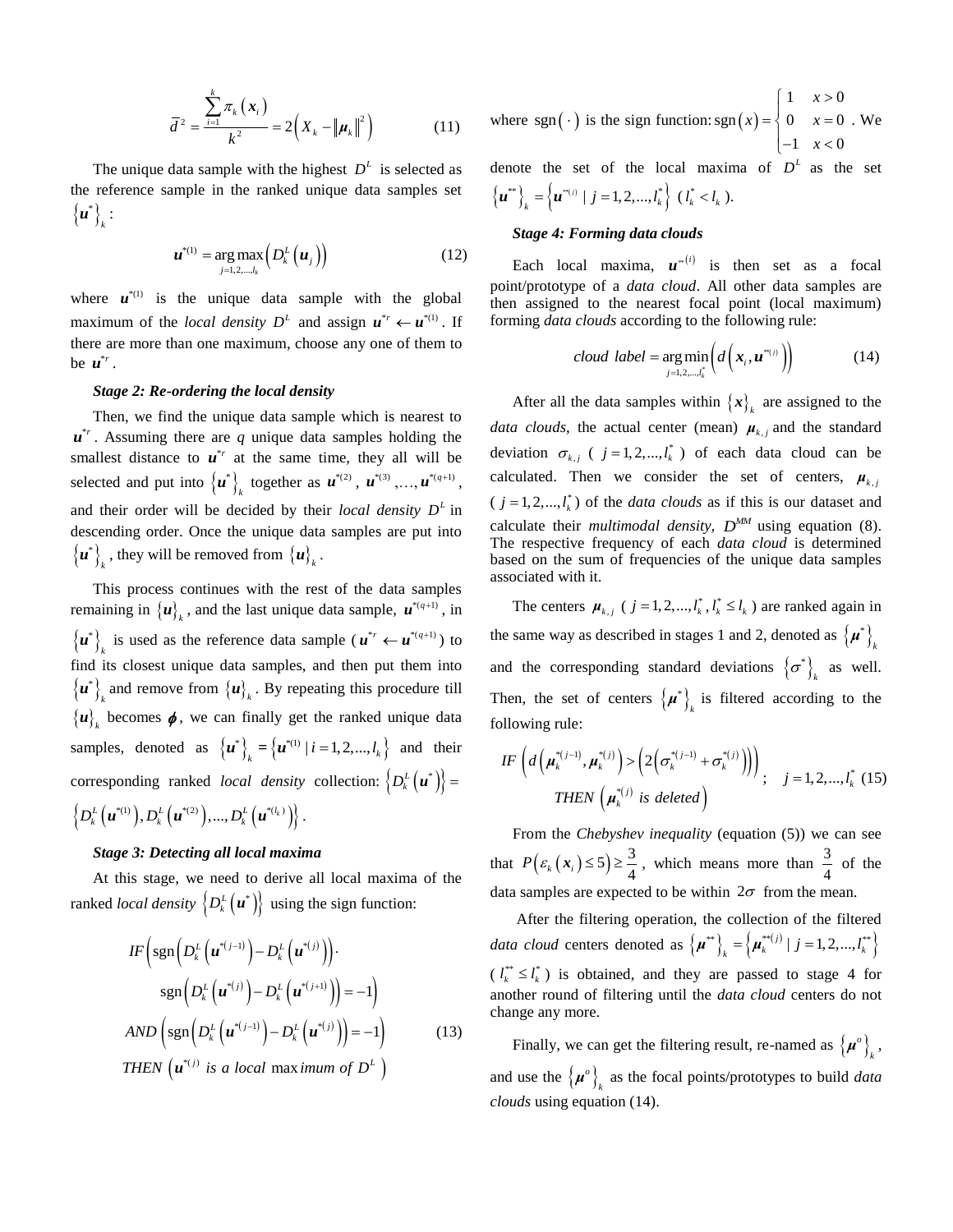$$
\bar{d}^{2} = \frac{\sum_{i=1}^{k} \pi_{k}(x_{i})}{k^{2}} = 2(X_{k} - ||\mu_{k}||^{2})
$$
(11)

The unique data sample with the highest  $D<sup>L</sup>$  is selected as the reference sample in the ranked unique data samples set  ${u^*}$ *k u* :

$$
\boldsymbol{u}^{*(1)} = \underset{j=1,2,\ldots,l_k}{\arg \max} \left( D_k^L \left( \boldsymbol{u}_j \right) \right) \tag{12}
$$

where  $u^{\ast(1)}$  is the unique data sample with the global maximum of the *local density*  $D^L$  and assign  $u^{*r} \leftarrow u^{*(1)}$ . If there are more than one maximum, choose any one of them to be  $\mathbf{u}^{*_r}$ .

#### *Stage 2: Re-ordering the local density*

Then, we find the unique data sample which is nearest to  $u^*$ . Assuming there are *q* unique data samples holding the smallest distance to  $\mathbf{u}^{*r}$  at the same time, they all will be selected and put into  $\{u^*\}\$  $\boldsymbol{u}^*\}$  together as  $\boldsymbol{u}^{*(2)}$ ,  $\boldsymbol{u}^{*(3)}$ ,..., $\boldsymbol{u}^{*(q+1)}$ , and their order will be decided by their *local density*  $D<sup>L</sup>$  in descending order. Once the unique data samples are put into  ${u^*}$  $\boldsymbol{u}^*\big|_k$  , they will be removed from  $\{\boldsymbol{u}\}_k$  .

This process continues with the rest of the data samples remaining in  $\{u\}_k$ , and the last unique data sample,  $u^{*(q+1)}$ , in  ${u^*}$  $u^*$ , is used as the reference data sample ( $u^{*r} \leftarrow u^{*(q+1)}$ ) to find its closest unique data samples, and then put them into  ${u^*}_{\cdot}$  $\mathbf{u}^*$  and remove from  $\{\mathbf{u}\}_k$ . By repeating this procedure till  ${u}_{k}$  becomes  $\phi$ , we can finally get the ranked unique data samples, denoted as  $\{u^*\}_k = \{u^{*(1)} | i = 1, 2, ..., l_k\}$  and their corresponding ranked *local density* collection:  $\left\{ D_k^L(\boldsymbol{u}^*) \right\} =$  $\left\{ D_k^L\left(\boldsymbol{u}^{*(1)}\right)\!, D_k^L\left(\boldsymbol{u}^{*(2)}\right)\!,\!...,\! D_k^L\left(\boldsymbol{u}^{*(l_k)}\right)\!\right\}.$ 

#### *Stage 3: Detecting all local maxima*

At this stage, we need to derive all local maxima of the ranked *local density*  $\left\{ D_k^L(u^*) \right\}$  using the sign function:

$$
IF\left(\operatorname{sgn}\left(D_k^L\left(\mathbf{u}^{*(j-1)}\right) - D_k^L\left(\mathbf{u}^{*(j)}\right)\right)\right)
$$

$$
\operatorname{sgn}\left(D_k^L\left(\mathbf{u}^{*(j)}\right) - D_k^L\left(\mathbf{u}^{*(j+1)}\right)\right) = -1\right)
$$

$$
AND\left(\operatorname{sgn}\left(D_k^L\left(\mathbf{u}^{*(j-1)}\right) - D_k^L\left(\mathbf{u}^{*(j)}\right)\right)\right) = -1\right)
$$
(13)
$$
THEN\left(\mathbf{u}^{*(j)} \text{ is a local max } \text{imum of } D^L\right)
$$

where sgn(
$$
\cdot
$$
) is the sign function: sgn( $x$ ) = 
$$
\begin{cases} 1 & x > 0 \\ 0 & x = 0 \\ -1 & x < 0 \end{cases}
$$
. We

denote the set of the local maxima of  $D<sup>L</sup>$  as the set  ${u^*}\}_k = {u^{*(j)} | j = 1,2,..., l_k^* } (l_k^* < l_k).$ 

#### *Stage 4: Forming data clouds*

Each local maxima,  $u^{(i)}$  is then set as a focal point/prototype of a *data cloud*. All other data samples are then assigned to the nearest focal point (local maximum) forming *data clouds* according to the following rule:

$$
cloud \ label = \underset{j=1,2,...,t_k^*}{\arg \min} \left( d\left( \boldsymbol{x}_i, \boldsymbol{u}^{*(j)} \right) \right) \tag{14}
$$

After all the data samples within  $\{x\}$ <sub>k</sub> are assigned to the *data clouds*, the actual center (mean)  $\mu_{k,j}$  and the standard deviation  $\sigma_{k,j}$  (  $j = 1, 2, ..., l_k^*$  ) of each data cloud can be calculated. Then we consider the set of centers,  $\mu_{k,i}$  $(j = 1, 2, \dots, l_k^*)$  of the *data clouds* as if this is our dataset and calculate their *multimodal density*,  $D^{MM}$  using equation (8). The respective frequency of each *data cloud* is determined based on the sum of frequencies of the unique data samples associated with it.

The centers  $\mu_{k,j}$  (  $j = 1, 2, ..., l_k^*, l_k^* \leq l_k$  ) are ranked again in the same way as described in stages 1 and 2, denoted as  $\{\mu^*\}\$ *k μ* and the corresponding standard deviations  $\{\sigma^*\}\$  $\sigma^*$ <sub>k</sub> as well. Then, the set of centers  $\{\mu^*\}\$  $\mu^*$ <sub>k</sub> is filtered according to the

following rule:  
\n
$$
IF\left(d\left(\mu_{k}^{*(j-1)}, \mu_{k}^{*(j)}\right) > \left(2\left(\sigma_{k}^{*(j-1)} + \sigma_{k}^{*(j)}\right)\right)\right), \quad j = 1, 2, ..., l_{k}^{*} \quad (15)
$$
\n
$$
THEN\left(\mu_{k}^{*(j)} \text{ is deleted}\right)
$$

From the *Chebyshev inequality* (equation (5)) we can see that  $P(\varepsilon_k(x_i) \leq 5) \geq \frac{3}{4}$ , which means more than  $\frac{3}{4}$  $\frac{3}{4}$  of the data samples are expected to be within  $2\sigma$  from the mean.

After the filtering operation, the collection of the filtered *data cloud* centers denoted as  $\{ \mu^{**} \}_k = \{ \mu_k^{**}(j) \mid j = 1, 2, ..., l_k^{**} \}$  $(l_k^{**} \leq l_k^{*})$  is obtained, and they are passed to stage 4 for another round of filtering until the *data cloud* centers do not change any more.

Finally, we can get the filtering result, re-named as  $\{\mu^o\}$ .  $\mu^o\Big\}_k$ , and use the  $\{\mu^o\}_{\mu}$  $\mu^{\circ}\big|_{k}$  as the focal points/prototypes to build *data clouds* using equation (14).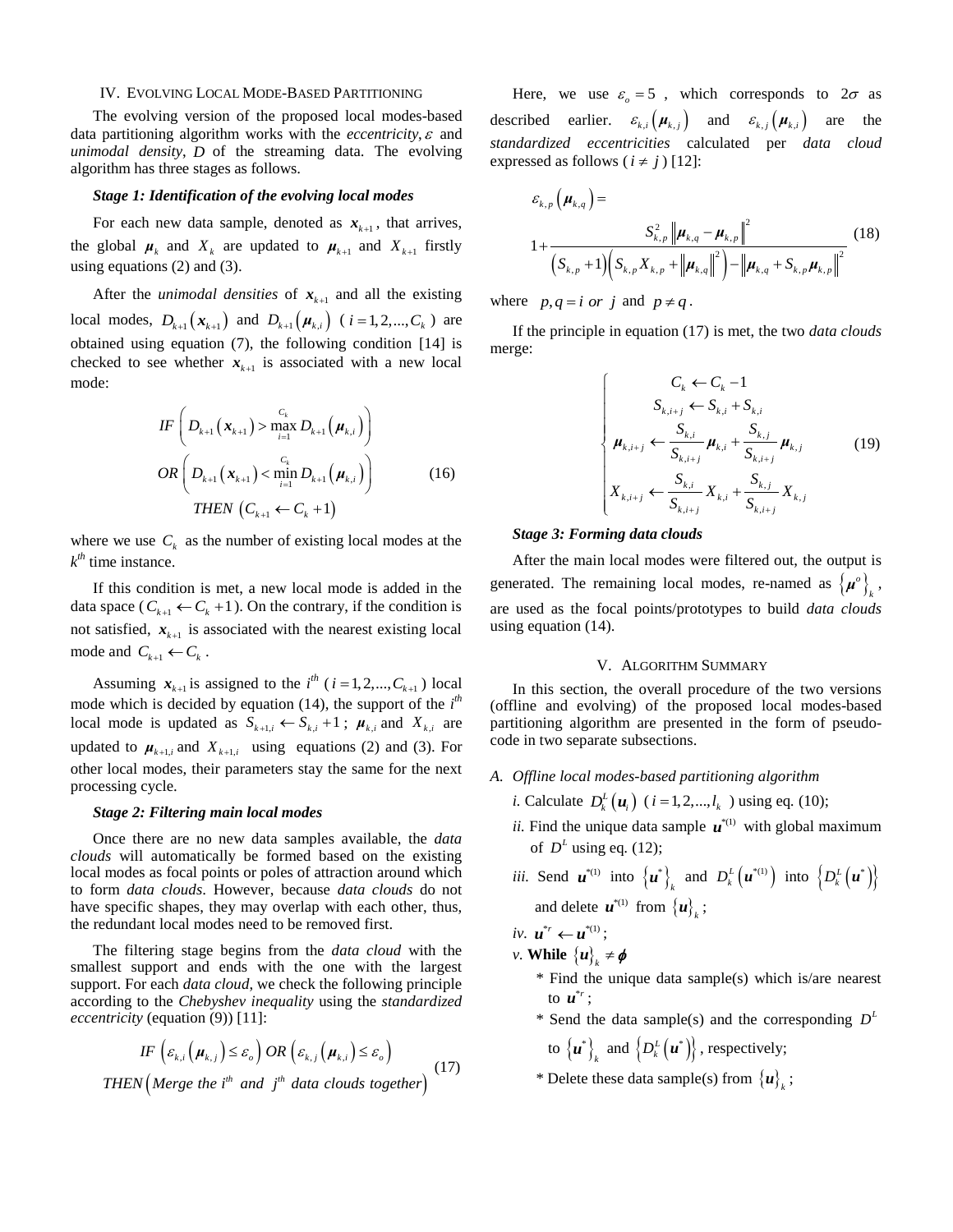#### IV. EVOLVING LOCAL MODE-BASED PARTITIONING

The evolving version of the proposed local modes-based data partitioning algorithm works with the *eccentricity*,  $\varepsilon$  and *unimodal density*, *D* of the streaming data. The evolving algorithm has three stages as follows.

#### *Stage 1: Identification of the evolving local modes*

For each new data sample, denoted as  $x_{k+1}$ , that arrives, the global  $\mu_k$  and  $X_k$  are updated to  $\mu_{k+1}$  and  $X_{k+1}$  firstly using equations (2) and (3).

After the *unimodal densities* of  $x_{k+1}$  and all the existing local modes,  $D_{k+1} (x_{k+1})$  and  $D_{k+1} (\mu_{k,i})$  (*i* = 1, 2, ...,  $C_k$ ) are obtained using equation (7), the following condition [14] is checked to see whether  $x_{k+1}$  is associated with a new local mode:

$$
IF\left(D_{k+1}(\mathbf{x}_{k+1}) > \max_{i=1}^{C_k} D_{k+1}(\boldsymbol{\mu}_{k,i})\right)
$$
  
\n
$$
OR\left(D_{k+1}(\mathbf{x}_{k+1}) < \min_{i=1}^{C_k} D_{k+1}(\boldsymbol{\mu}_{k,i})\right)
$$
 (16)  
\nTHEN  $(C_{k+1} \leftarrow C_k + 1)$ 

where we use  $C_k$  as the number of existing local modes at the *k th* time instance.

If this condition is met, a new local mode is added in the data space ( $C_{k+1} \leftarrow C_k + 1$ ). On the contrary, if the condition is not satisfied,  $x_{k+1}$  is associated with the nearest existing local mode and  $C_{k+1} \leftarrow C_k$ .

Assuming  $x_{k+1}$  is assigned to the  $i^{th}$  ( $i = 1, 2, ..., C_{k+1}$ ) local mode which is decided by equation (14), the support of the  $i^{th}$ local mode is updated as  $S_{k+1,i} \leftarrow S_{k,i} + 1$ ;  $\mu_{k,i}$  and  $X_{k,i}$  are updated to  $\mu_{k+1,i}$  and  $X_{k+1,i}$  using equations (2) and (3). For other local modes, their parameters stay the same for the next processing cycle.

#### *Stage 2: Filtering main local modes*

Once there are no new data samples available, the *data clouds* will automatically be formed based on the existing local modes as focal points or poles of attraction around which to form *data clouds*. However, because *data clouds* do not have specific shapes, they may overlap with each other, thus, the redundant local modes need to be removed first.

The filtering stage begins from the *data cloud* with the smallest support and ends with the one with the largest support. For each *data cloud*, we check the following principle according to the *Chebyshev inequality* using the *standardized*

*eccentricity* (equation (9)) [11]:  
\n
$$
IF\left(\varepsilon_{k,i}\left(\mu_{k,j}\right) \leq \varepsilon_o\right) OR\left(\varepsilon_{k,j}\left(\mu_{k,i}\right) \leq \varepsilon_o\right)
$$
\n
$$
THEN\left(Merge\ the\ i^{th}\ and\ j^{th}\ data\ clouds\ together\right)
$$
\n(17)

Here, we use  $\varepsilon_o = 5$ , which corresponds to  $2\sigma$  as described earlier.  $\varepsilon_{k,i}(\mu_{k,j})$  and  $\varepsilon_{k,j}(\mu_{k,i})$ are the *standardized eccentricities* calculated per *data cloud* expressed as follows  $(i \neq j)$  [12]:

$$
\varepsilon_{k,p}(\mu_{k,q}) =
$$
\n
$$
1 + \frac{S_{k,p}^2 ||\mu_{k,q} - \mu_{k,p}||^2}{\left(S_{k,p} + 1\right) \left(S_{k,p} X_{k,p} + ||\mu_{k,q}||^2\right) - ||\mu_{k,q} + S_{k,p} \mu_{k,p}||^2}
$$
\n(18)

where  $p, q = i \text{ or } j$  and  $p \neq q$ .

If the principle in equation (17) is met, the two *data clouds* merge:

$$
\begin{cases}\nC_{k} \leftarrow C_{k} - 1 \\
S_{k,i+j} \leftarrow S_{k,i} + S_{k,i} \\
\mu_{k,i+j} \leftarrow \frac{S_{k,i}}{S_{k,i+j}} \mu_{k,i} + \frac{S_{k,j}}{S_{k,i+j}} \mu_{k,j} \\
X_{k,i+j} \leftarrow \frac{S_{k,i}}{S_{k,i+j}} X_{k,i} + \frac{S_{k,j}}{S_{k,i+j}} X_{k,j}\n\end{cases} (19)
$$

#### *Stage 3: Forming data clouds*

After the main local modes were filtered out, the output is generated. The remaining local modes, re-named as  $\{\mu^o\}$  $\mu^o\Big\}_k$ , are used as the focal points/prototypes to build *data clouds* using equation (14).

#### V. ALGORITHM SUMMARY

In this section, the overall procedure of the two versions (offline and evolving) of the proposed local modes-based partitioning algorithm are presented in the form of pseudocode in two separate subsections.

- *A. Offline local modes-based partitioning algorithm*
	- *i.* Calculate  $D_k^L(u_i)$  (*i* = 1,2,..., $l_k$ ) using eq. (10);
	- ii. Find the unique data sample  $\mathbf{u}^{*(1)}$  with global maximum of  $D<sup>L</sup>$  using eq. (12);
	- *iii.* Send  $\mathbf{u}^{*(1)}$  into  $\{\mathbf{u}^*\}\$  $\left\{ \boldsymbol{u}^*\right\}_k$  and  $D_k^L\left(\boldsymbol{u}^{*(1)}\right)$  into  $\left\{ D_k^L\left(\boldsymbol{u}^*\right)\right\}$ and delete  $\boldsymbol{u}^{*(1)}$  from  ${\{\boldsymbol{u}\}_k}$ ;

 $iv. \, u^{*_r} \leftarrow u^{*(1)}$ ;

- *v*. **While**  ${u}_k \neq \phi$ 
	- \* Find the unique data sample(s) which is/are nearest to  $\boldsymbol{u}^{*_r}$ ;
- \* Send the data sample(s) and the corresponding  $D<sup>L</sup>$

to  ${u^*}$  $\boldsymbol{u}^*\bigg\}$ , and  $\left\{D_k^L\left(\boldsymbol{u}^*\right)\right\}$ , respectively;

\* Delete these data sample(s) from  ${u}_{k}$ ;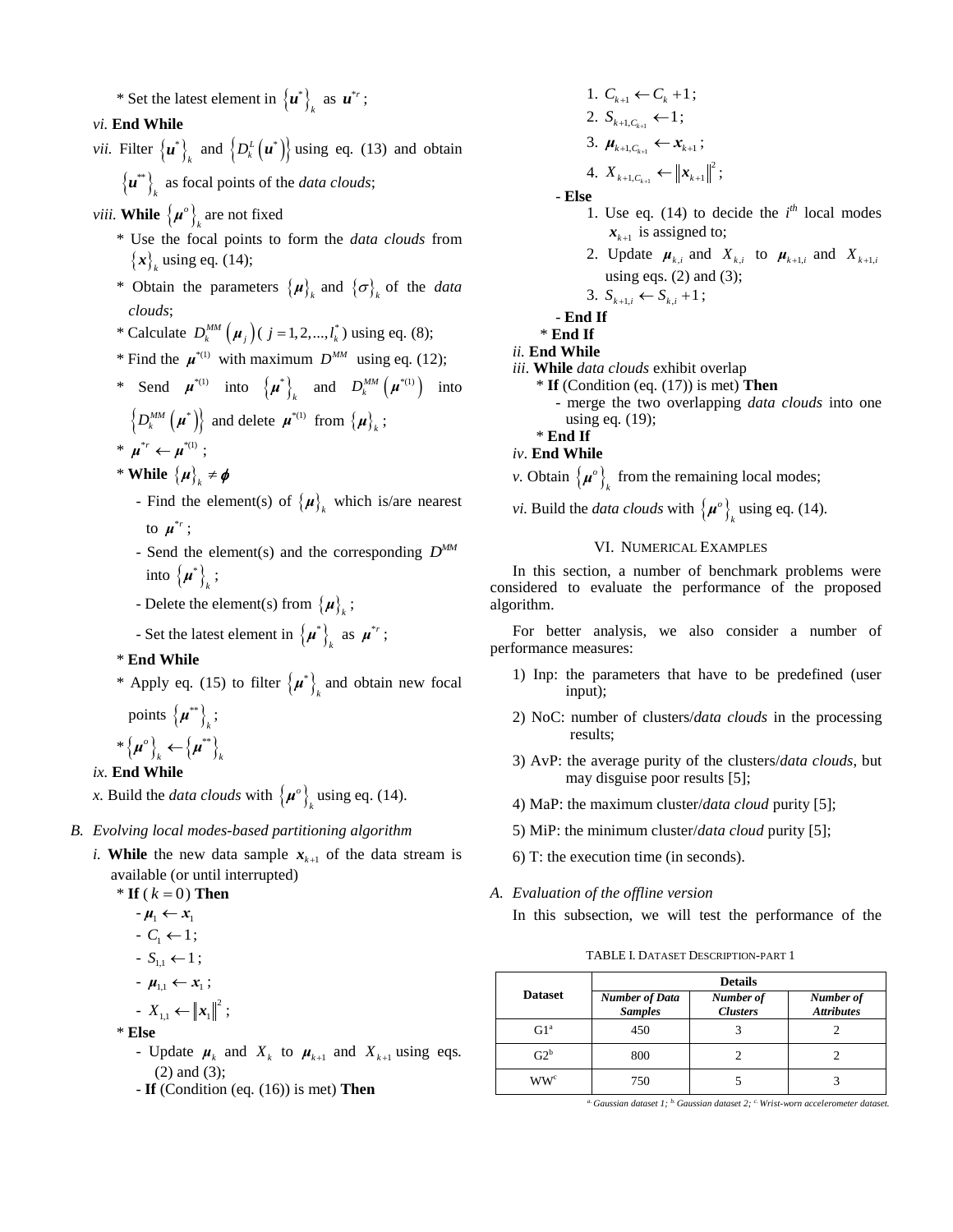\* Set the latest element in  $\{u^*\}\$  $\left\{ u^*\right\}_k$  as  $u^{*_r}$ ;

#### *vi.* **End While**

- *vii.* Filter  $\{u^*\}\$  $\mathbf{u}^*\bigg\}$  and  $\big\{D_k^L\big(\mathbf{u}^*\big)\big\}$  using eq. (13) and obtain  ${u^*}$ 
	- $\left\{ u^* \right\}_k$  as focal points of the *data clouds*;
- *viii.* While  $\{\boldsymbol{\mu}^o\}_{o}$  $\mu^o\big|_k$  are not fixed
	- \* Use the focal points to form the *data clouds* from  ${x}_{k}$  using eq. (14);
- \* Obtain the parameters  $\{\mu\}$ <sub>k</sub> and  $\{\sigma\}$ <sub>k</sub> of the *data clouds*;
- \* Calculate  $D_k^{MM}(\mu_j)(j = 1, 2, ..., l_k^*)$  using eq. (8);
- \* Find the  $\mu^{*(1)}$  with maximum  $D^{MM}$  using eq. (12);
- \* Send  $\boldsymbol{\mu}^{*(1)}$  into  $\{\boldsymbol{\mu}^*\}$  $\boldsymbol{\mu}^*\bigg\}_k$  and  $D_k^{MM}\left(\boldsymbol{\mu}^{*(1)}\right)$  into

$$
\left\{D_k^{\text{MM}}\left(\boldsymbol{\mu}^*\right)\right\} \text{ and delete } \boldsymbol{\mu}^{*(1)} \text{ from } \left\{\boldsymbol{\mu}\right\}_k;
$$

- $* \mu^{*_r} \leftarrow \mu^{*(1)}$ ;
- \* **While**  $\{\mu\}_k \neq \phi$
- Find the element(s) of  $\{ \mu \}_k$  which is/are nearest to  $\boldsymbol{\mu}^{*_r}$ ;
- Send the element(s) and the corresponding  $D^{MM}$ into  $\{\mu^*\}\$  $\mu^*$ }<sub>κ</sub> ;
- Delete the element(s) from  $\{\mu\}_k$ ;
- Set the latest element in  $\{\mu^*\}\$  $\mu^*$   $\big\}$  as  $\mu^{*}$ ;
	- \* **End While**
- \* Apply eq. (15) to filter  $\{\mu^*\}\$  $\mu^*$ <sub>k</sub> and obtain new focal points  $\{\mu^{**}\}\;$ ;

$$
*\left\{\boldsymbol{\mu}^{\circ}\right\}_{k} \leftarrow \left\{\boldsymbol{\mu}^{**}\right\}_{k}
$$

#### *ix.* **End While**

x. Build the *data clouds* with  $\{\mu^o\}$  $\mu^o$ <sup> $\left\{\right\}$ <sub>k</sub> using eq. (14).</sup>

#### *B. Evolving local modes-based partitioning algorithm*

*i*. While the new data sample  $x_{k+1}$  of the data stream is available (or until interrupted)

\* If 
$$
(k = 0)
$$
 Then  
\n $-\mu_1 \leftarrow x_1$   
\n $-C_1 \leftarrow 1$ ;  
\n $-S_{1,1} \leftarrow 1$ ;  
\n $-\mu_{1,1} \leftarrow x_1$ ;  
\n $-X_{1,1} \leftarrow ||x_1||^2$ ;

\* **Else**

- Update  $\mu_k$  and  $X_k$  to  $\mu_{k+1}$  and  $X_{k+1}$  using eqs. (2) and (3);
	- **If** (Condition (eq*.* (16)) is met) **Then**
- 1.  $C_{k+1} \leftarrow C_k + 1;$ 2.  $S_{k+1,C_{k+1}} \leftarrow 1;$ 3.  $\mu_{k+1,C_{k+1}} \leftarrow x_{k+1};$ 2
- 4.  $X_{k+1,C_{k+1}}$  $X_{k+1, C_{k+1}} \leftarrow ||x_{k+1}||^2;$

- **Else**

- 1. Use eq. (14) to decide the  $i^{th}$  local modes  $x_{k+1}$  is assigned to;
- 2. Update  $\mu_{k,i}$  and  $X_{k,i}$  to  $\mu_{k+1,i}$  and  $X_{k+1,i}$ using eqs.  $(2)$  and  $(3)$ ;

$$
3. S_{k+1,i} \leftarrow S_{k,i} + 1;
$$

- **End If**

\* **End If**

- *ii.* **End While**
- *iii*. **While** *data clouds* exhibit overlap
	- \* **If** (Condition (eq*.* (17)) is met) **Then** - merge the two overlapping *data clouds* into one using eq*.* (19);
- \* **End If**
- *iv*. **End While**
- *v*. Obtain  $\{\mu^o\}$  $\mu^o\big\}_{k}$  from the remaining local modes;
- *vi.* Build the *data clouds* with  $\{\mu^o\}$  $\mu^o$ <sup> $\left\{\right\}$ <sub>k</sub> using eq. (14).</sup>

#### VI. NUMERICAL EXAMPLES

In this section, a number of benchmark problems were considered to evaluate the performance of the proposed algorithm.

For better analysis, we also consider a number of performance measures:

- 1) Inp: the parameters that have to be predefined (user input);
- 2) NoC: number of clusters/*data clouds* in the processing results;
- 3) AvP: the average purity of the clusters/*data clouds*, but may disguise poor results [5];
- 4) MaP: the maximum cluster/*data cloud* purity [5];
- 5) MiP: the minimum cluster/*data cloud* purity [5];
- 6) T: the execution time (in seconds).
- *A. Evaluation of the offline version*

In this subsection, we will test the performance of the

TABLE I. DATASET DESCRIPTION-PART 1

|                          | <b>Details</b>                          |                              |                                |  |  |  |
|--------------------------|-----------------------------------------|------------------------------|--------------------------------|--|--|--|
| <b>Dataset</b>           | <b>Number of Data</b><br><b>Samples</b> | Number of<br><b>Clusters</b> | Number of<br><b>Attributes</b> |  |  |  |
| Gl <sup>a</sup>          | 450                                     |                              |                                |  |  |  |
| $G2^b$                   | 800                                     |                              |                                |  |  |  |
| $\mathrm{WW}^\mathrm{c}$ | 750                                     |                              |                                |  |  |  |

*a. Gaussian dataset 1; b. Gaussian dataset 2; c. Wrist-worn accelerometer dataset.*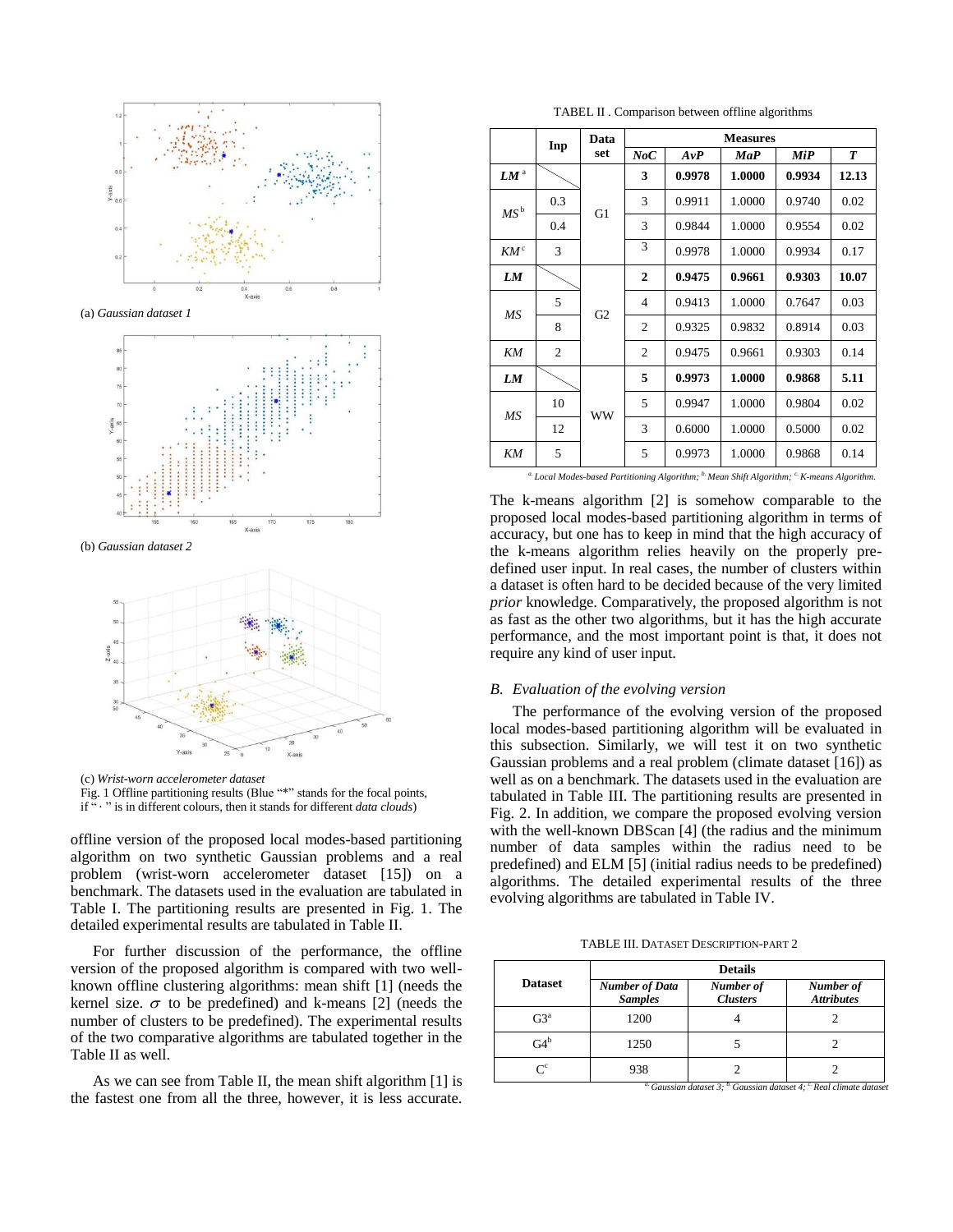

(a) *Gaussian dataset 1*



(b) *Gaussian dataset 2*



(c) *Wrist-worn accelerometer dataset*

Fig. 1 Offline partitioning results (Blue "\*" stands for the focal points,

if " " is in different colours, then it stands for different *data clouds*)

offline version of the proposed local modes-based partitioning algorithm on two synthetic Gaussian problems and a real problem (wrist-worn accelerometer dataset [15]) on a benchmark. The datasets used in the evaluation are tabulated in Table I. The partitioning results are presented in Fig. 1. The detailed experimental results are tabulated in Table II.

For further discussion of the performance, the offline version of the proposed algorithm is compared with two wellknown offline clustering algorithms: mean shift [1] (needs the kernel size.  $\sigma$  to be predefined) and k-means [2] (needs the number of clusters to be predefined). The experimental results of the two comparative algorithms are tabulated together in the Table II as well.

As we can see from Table II, the mean shift algorithm [1] is the fastest one from all the three, however, it is less accurate.

TABEL II . Comparison between offline algorithms

|                     | Inp | Data           | <b>Measures</b> |        |        |        |                  |
|---------------------|-----|----------------|-----------------|--------|--------|--------|------------------|
|                     |     | set            | NoC             | AvP    | MaP    | MiP    | $\boldsymbol{T}$ |
| $LM^{\mathfrak{a}}$ |     | G <sub>1</sub> | 3               | 0.9978 | 1.0000 | 0.9934 | 12.13            |
| $MS^{\,\rm b}$      | 0.3 |                | 3               | 0.9911 | 1.0000 | 0.9740 | 0.02             |
|                     | 0.4 |                | 3               | 0.9844 | 1.0000 | 0.9554 | 0.02             |
| $KM^c$              | 3   |                | 3               | 0.9978 | 1.0000 | 0.9934 | 0.17             |
| LM                  |     | G2             | $\mathbf{2}$    | 0.9475 | 0.9661 | 0.9303 | 10.07            |
| МS                  | 5   |                | $\overline{4}$  | 0.9413 | 1.0000 | 0.7647 | 0.03             |
|                     | 8   |                | $\overline{c}$  | 0.9325 | 0.9832 | 0.8914 | 0.03             |
| KΜ                  | 2   |                | $\overline{c}$  | 0.9475 | 0.9661 | 0.9303 | 0.14             |
| LM                  |     | <b>WW</b>      | 5               | 0.9973 | 1.0000 | 0.9868 | 5.11             |
| MS                  | 10  |                | 5               | 0.9947 | 1.0000 | 0.9804 | 0.02             |
|                     | 12  |                | 3               | 0.6000 | 1.0000 | 0.5000 | 0.02             |
| KΜ                  | 5   |                | 5               | 0.9973 | 1.0000 | 0.9868 | 0.14             |
|                     |     |                |                 |        |        |        |                  |

*a. Local Modes-based Partitioning Algorithm; b. Mean Shift Algorithm; c. K-means Algorithm.*

The k-means algorithm [2] is somehow comparable to the proposed local modes-based partitioning algorithm in terms of accuracy, but one has to keep in mind that the high accuracy of the k-means algorithm relies heavily on the properly predefined user input. In real cases, the number of clusters within a dataset is often hard to be decided because of the very limited *prior* knowledge. Comparatively, the proposed algorithm is not as fast as the other two algorithms, but it has the high accurate performance, and the most important point is that, it does not require any kind of user input.

#### *B. Evaluation of the evolving version*

The performance of the evolving version of the proposed local modes-based partitioning algorithm will be evaluated in this subsection. Similarly, we will test it on two synthetic Gaussian problems and a real problem (climate dataset [16]) as well as on a benchmark. The datasets used in the evaluation are tabulated in Table III. The partitioning results are presented in Fig. 2. In addition, we compare the proposed evolving version with the well-known DBScan [4] (the radius and the minimum number of data samples within the radius need to be predefined) and ELM [5] (initial radius needs to be predefined) algorithms. The detailed experimental results of the three evolving algorithms are tabulated in Table IV.

TABLE III. DATASET DESCRIPTION-PART 2

|                | <b>Details</b>                          |                              |                                |  |  |  |
|----------------|-----------------------------------------|------------------------------|--------------------------------|--|--|--|
| <b>Dataset</b> | <b>Number of Data</b><br><b>Samples</b> | Number of<br><b>Clusters</b> | Number of<br><b>Attributes</b> |  |  |  |
| $G3^a$         | 1200                                    |                              |                                |  |  |  |
| $G4^b$         | 1250                                    |                              |                                |  |  |  |
|                | 938                                     |                              |                                |  |  |  |

*a. Gaussian dataset 3; b. Gaussian dataset 4; c. Real climate dataset*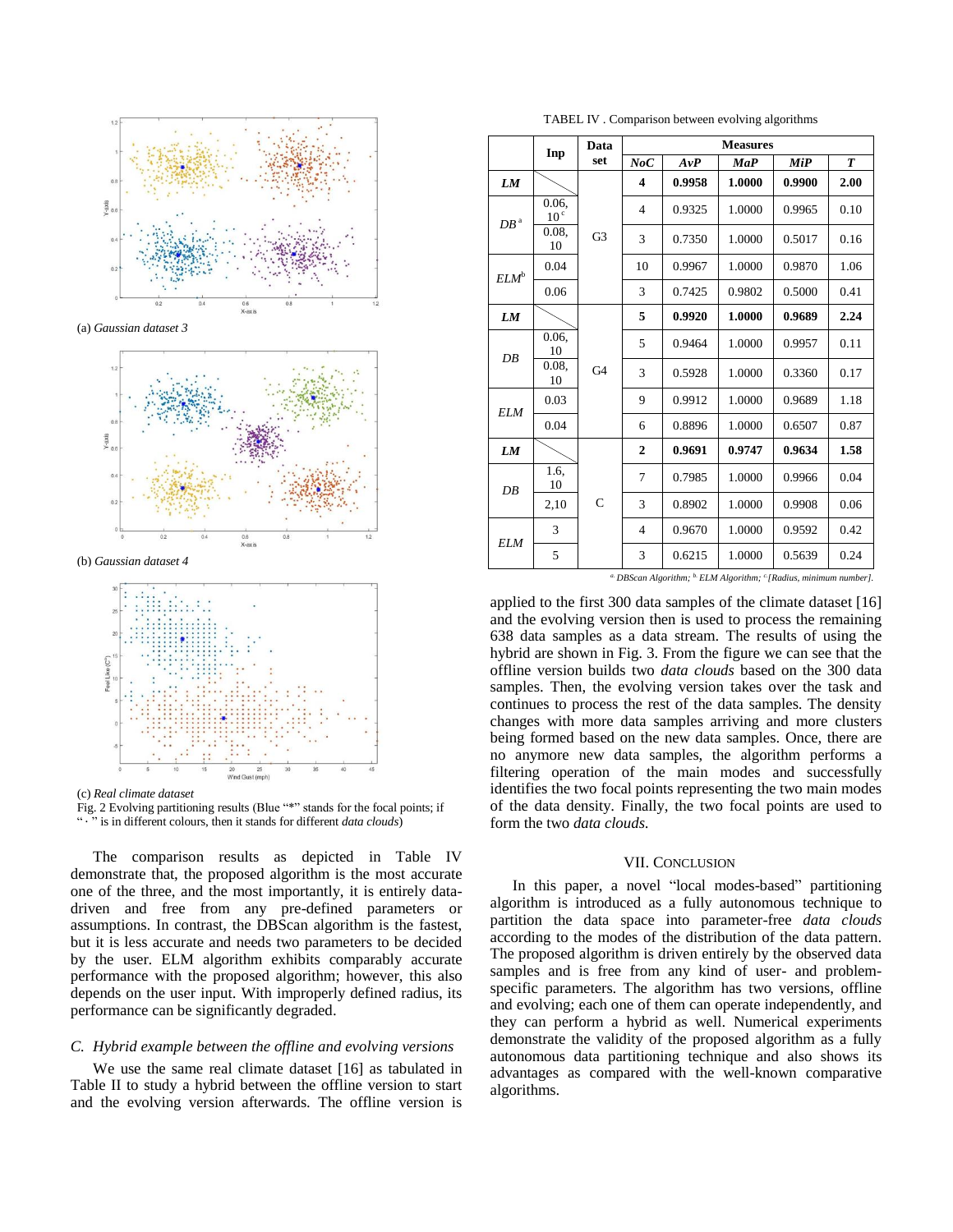

(a) *Gaussian dataset 3*



(b) *Gaussian dataset 4*



(c) *Real climate dataset*

Fig. 2 Evolving partitioning results (Blue "\*" stands for the focal points; if " is in different colours, then it stands for different *data clouds*)

The comparison results as depicted in Table IV demonstrate that, the proposed algorithm is the most accurate one of the three, and the most importantly, it is entirely datadriven and free from any pre-defined parameters or assumptions. In contrast, the DBScan algorithm is the fastest, but it is less accurate and needs two parameters to be decided by the user. ELM algorithm exhibits comparably accurate performance with the proposed algorithm; however, this also depends on the user input. With improperly defined radius, its performance can be significantly degraded.

#### *C. Hybrid example between the offline and evolving versions*

We use the same real climate dataset [16] as tabulated in Table II to study a hybrid between the offline version to start and the evolving version afterwards. The offline version is

TABEL IV . Comparison between evolving algorithms

|                                | Inp                      | Data           | <b>Measures</b> |        |        |        |                  |
|--------------------------------|--------------------------|----------------|-----------------|--------|--------|--------|------------------|
|                                |                          | set            | NoC             | AvP    | MaP    | MiP    | $\boldsymbol{T}$ |
| LM                             |                          | G <sub>3</sub> | 4               | 0.9958 | 1.0000 | 0.9900 | 2.00             |
| ${\cal D} {\cal B}^{\, \rm a}$ | 0.06.<br>10 <sup>c</sup> |                | $\overline{4}$  | 0.9325 | 1.0000 | 0.9965 | 0.10             |
|                                | 0.08.<br>10              |                | 3               | 0.7350 | 1.0000 | 0.5017 | 0.16             |
| ELM <sup>b</sup>               | 0.04                     |                | 10              | 0.9967 | 1.0000 | 0.9870 | 1.06             |
|                                | 0.06                     |                | 3               | 0.7425 | 0.9802 | 0.5000 | 0.41             |
| <b>LM</b>                      |                          | G4             | 5               | 0.9920 | 1.0000 | 0.9689 | 2.24             |
| DB                             | 0.06,<br>10              |                | 5               | 0.9464 | 1.0000 | 0.9957 | 0.11             |
|                                | 0.08.<br>10              |                | 3               | 0.5928 | 1.0000 | 0.3360 | 0.17             |
| ELM                            | 0.03                     |                | 9               | 0.9912 | 1.0000 | 0.9689 | 1.18             |
|                                | 0.04                     |                | 6               | 0.8896 | 1.0000 | 0.6507 | 0.87             |
| LM                             |                          | $\mathsf{C}$   | $\overline{2}$  | 0.9691 | 0.9747 | 0.9634 | 1.58             |
| DB                             | 1.6.<br>10               |                | 7               | 0.7985 | 1.0000 | 0.9966 | 0.04             |
|                                | 2,10                     |                | 3               | 0.8902 | 1.0000 | 0.9908 | 0.06             |
| ELM                            | 3                        |                | $\overline{4}$  | 0.9670 | 1.0000 | 0.9592 | 0.42             |
|                                | 5                        |                | 3               | 0.6215 | 1.0000 | 0.5639 | 0.24             |

*a. DBScan Algorithm; b. ELM Algorithm; c. [Radius, minimum number].*

applied to the first 300 data samples of the climate dataset [16] and the evolving version then is used to process the remaining 638 data samples as a data stream. The results of using the hybrid are shown in Fig. 3. From the figure we can see that the offline version builds two *data clouds* based on the 300 data samples. Then, the evolving version takes over the task and continues to process the rest of the data samples. The density changes with more data samples arriving and more clusters being formed based on the new data samples. Once, there are no anymore new data samples, the algorithm performs a filtering operation of the main modes and successfully identifies the two focal points representing the two main modes of the data density. Finally, the two focal points are used to form the two *data clouds*.

#### VII. CONCLUSION

In this paper, a novel "local modes-based" partitioning algorithm is introduced as a fully autonomous technique to partition the data space into parameter-free *data clouds* according to the modes of the distribution of the data pattern. The proposed algorithm is driven entirely by the observed data samples and is free from any kind of user- and problemspecific parameters. The algorithm has two versions, offline and evolving; each one of them can operate independently, and they can perform a hybrid as well. Numerical experiments demonstrate the validity of the proposed algorithm as a fully autonomous data partitioning technique and also shows its advantages as compared with the well-known comparative algorithms.